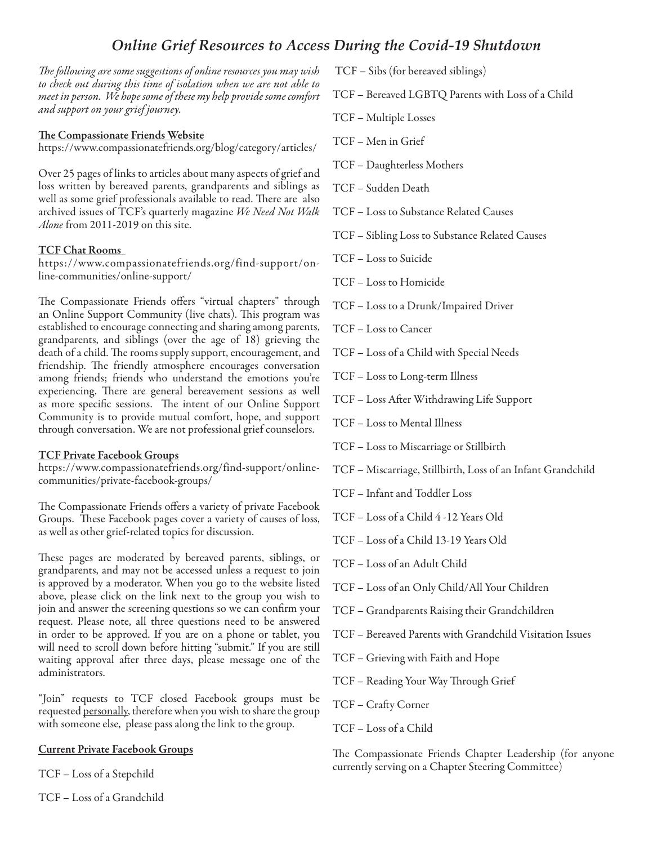# *Online Grief Resources to Access During the Covid-19 Shutdown*

*The following are some suggestions of online resources you may wish to check out during this time of isolation when we are not able to meet in person. We hope some of these my help provide some comfort and support on your grief journey.*

### The Compassionate Friends Website

https://www.compassionatefriends.org/blog/category/articles/

Over 25 pages of links to articles about many aspects of grief and loss written by bereaved parents, grandparents and siblings as well as some grief professionals available to read. There are also archived issues of TCF's quarterly magazine *We Need Not Walk Alone* from 2011-2019 on this site.

#### TCF Chat Rooms

https://www.compassionatefriends.org/find-support/online-communities/online-support/

The Compassionate Friends offers "virtual chapters" through an Online Support Community (live chats). This program was established to encourage connecting and sharing among parents, grandparents, and siblings (over the age of 18) grieving the death of a child. The rooms supply support, encouragement, and friendship. The friendly atmosphere encourages conversation among friends; friends who understand the emotions you're experiencing. There are general bereavement sessions as well as more specific sessions. The intent of our Online Support Community is to provide mutual comfort, hope, and support through conversation. We are not professional grief counselors.

#### TCF Private Facebook Groups

https://www.compassionatefriends.org/find-support/onlinecommunities/private-facebook-groups/

The Compassionate Friends offers a variety of private Facebook Groups. These Facebook pages cover a variety of causes of loss, as well as other grief-related topics for discussion.

These pages are moderated by bereaved parents, siblings, or grandparents, and may not be accessed unless a request to join is approved by a moderator. When you go to the website listed above, please click on the link next to the group you wish to join and answer the screening questions so we can confirm your request. Please note, all three questions need to be answered in order to be approved. If you are on a phone or tablet, you will need to scroll down before hitting "submit." If you are still waiting approval after three days, please message one of the administrators.

"Join" requests to TCF closed Facebook groups must be requested personally, therefore when you wish to share the group with someone else, please pass along the link to the group.

#### Current Private Facebook Groups

TCF – Loss of a Stepchild

TCF – Loss of a Grandchild

TCF – Sibs (for bereaved siblings)

- TCF Bereaved LGBTQ Parents with Loss of a Child
- TCF Multiple Losses
- TCF Men in Grief
- TCF Daughterless Mothers
- TCF Sudden Death
- TCF Loss to Substance Related Causes
- TCF Sibling Loss to Substance Related Causes
- TCF Loss to Suicide
- TCF Loss to Homicide
- TCF Loss to a Drunk/Impaired Driver
- TCF Loss to Cancer
- TCF Loss of a Child with Special Needs
- TCF Loss to Long-term Illness
- TCF Loss After Withdrawing Life Support
- TCF Loss to Mental Illness
- TCF Loss to Miscarriage or Stillbirth
- TCF Miscarriage, Stillbirth, Loss of an Infant Grandchild
- TCF Infant and Toddler Loss
- TCF Loss of a Child 4 -12 Years Old
- TCF Loss of a Child 13-19 Years Old
- TCF Loss of an Adult Child
- TCF Loss of an Only Child/All Your Children
- TCF Grandparents Raising their Grandchildren
- TCF Bereaved Parents with Grandchild Visitation Issues
- TCF Grieving with Faith and Hope
- TCF Reading Your Way Through Grief
- TCF Crafty Corner
- TCF Loss of a Child

The Compassionate Friends Chapter Leadership (for anyone currently serving on a Chapter Steering Committee)